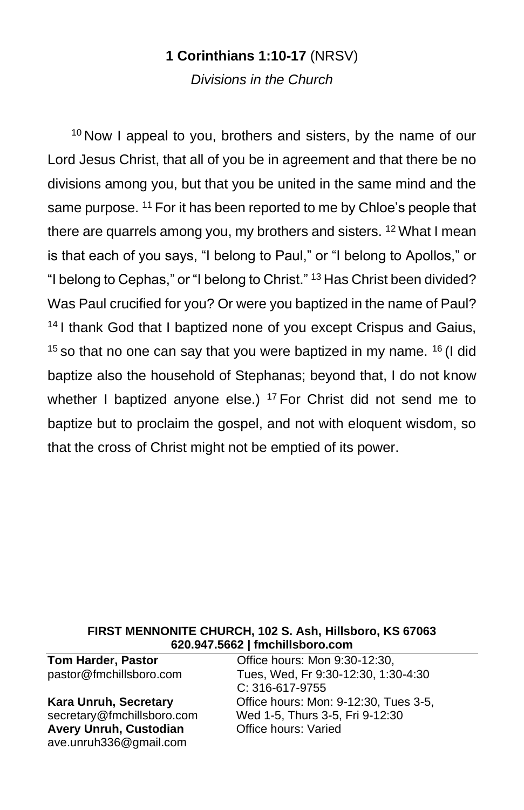# **1 Corinthians 1:10-17** (NRSV)

*Divisions in the Church*

<sup>10</sup> Now I appeal to you, brothers and sisters, by the name of our Lord Jesus Christ, that all of you be in agreement and that there be no divisions among you, but that you be united in the same mind and the same purpose. <sup>11</sup> For it has been reported to me by Chloe's people that there are quarrels among you, my brothers and sisters. <sup>12</sup> What I mean is that each of you says, "I belong to Paul," or "I belong to Apollos," or "I belong to Cephas," or "I belong to Christ." <sup>13</sup> Has Christ been divided? Was Paul crucified for you? Or were you baptized in the name of Paul? <sup>14</sup> I thank God that I baptized none of you except Crispus and Gaius,  $15$  so that no one can say that you were baptized in my name.  $16$  (I did baptize also the household of Stephanas; beyond that, I do not know whether I baptized anyone else.)  $17$  For Christ did not send me to baptize but to proclaim the gospel, and not with eloquent wisdom, so that the cross of Christ might not be emptied of its power.

#### **FIRST MENNONITE CHURCH, 102 S. Ash, Hillsboro, KS 67063 620.947.5662 | fmchillsboro.com**

**Avery Unruh, Custodian Office hours: Varied** [ave.unruh336@gmail.com](mailto:ave.unruh336@gmail.com)

**Tom Harder, Pastor Communist Communist Communist Communist Communist Communist Communist Communist Communist Communist Communist Communist Communist Communist Communist Communist Communist Communist Communist Communist** pastor@fmchillsboro.com Tues, Wed, Fr 9:30-12:30, 1:30-4:30 C: 316-617-9755 **Kara Unruh, Secretary Collice hours: Mon: 9-12:30, Tues 3-5, Normal Secretary Collisbon** secretary@fmchillsboro.com Wed 1-5, Thurs 3-5, Fri 9-12:30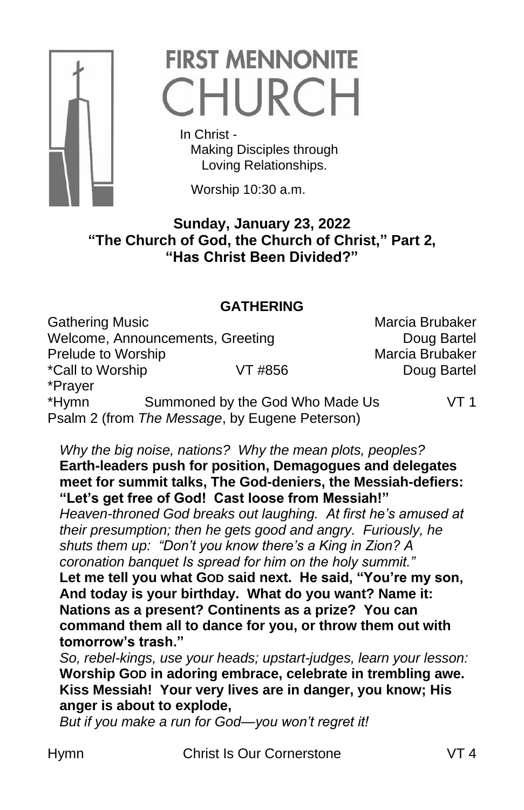

# **FIRST MENNONITE** CHURCH

 In Christ - Making Disciples through Loving Relationships.

Worship 10:30 a.m.

## **Sunday, January 23, 2022 "The Church of God, the Church of Christ," Part 2, "Has Christ Been Divided?"**

## **GATHERING**

Gathering Music **Marcia Brubaker** Marcia Brubaker Welcome, Announcements, Greeting The Company Doug Bartel Prelude to Worship Narcia Brubaker \*Call to Worship  $VT$  #856 Doug Bartel \*Prayer \*Hymn Summoned by the God Who Made Us VT 1 Psalm 2 (from *The Message*, by Eugene Peterson)

### *Why the big noise, nations? Why the mean plots, peoples?* **Earth-leaders push for position, Demagogues and delegates meet for summit talks, The God-deniers, the Messiah-defiers: "Let's get free of God! Cast loose from Messiah!"**

*Heaven-throned God breaks out laughing. At first he's amused at their presumption; then he gets good and angry. Furiously, he shuts them up: "Don't you know there's a King in Zion? A coronation banquet Is spread for him on the holy summit."* **Let me tell you what GOD said next. He said, "You're my son, And today is your birthday. What do you want? Name it: Nations as a present? Continents as a prize? You can command them all to dance for you, or throw them out with tomorrow's trash."**

*So, rebel-kings, use your heads; upstart-judges, learn your lesson:* **Worship GOD in adoring embrace, celebrate in trembling awe. Kiss Messiah! Your very lives are in danger, you know; His anger is about to explode,**

*But if you make a run for God—you won't regret it!*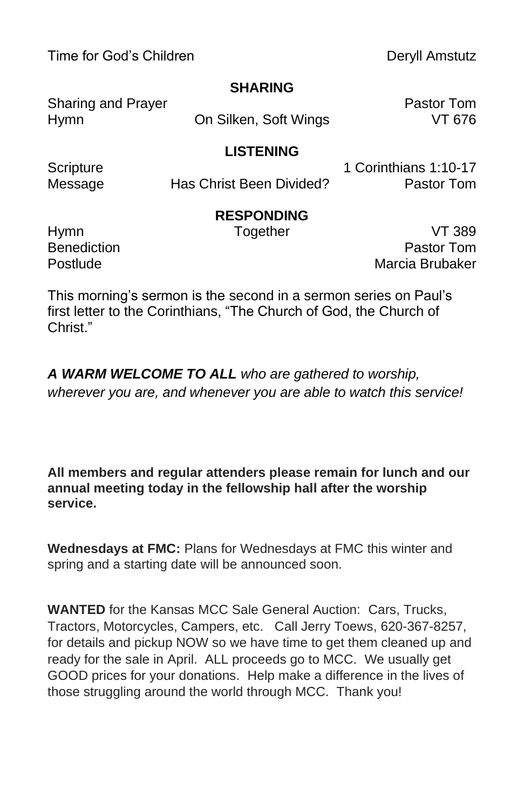Time for God's Children **Deryll Amstutz** 

#### **SHARING**

Sharing and Prayer **Pastor Tom** 

Hymn On Silken, Soft Wings VT 676

#### **LISTENING**

Message **Has Christ Been Divided?** Pastor Tom

Scripture 1 Corinthians 1:10-17

## **RESPONDING**

Hymn **Together** Together VT 389 Benediction **Benediction Pastor Tom** Postlude Marcia Brubaker

This morning's sermon is the second in a sermon series on Paul's first letter to the Corinthians, "The Church of God, the Church of Christ."

*A WARM WELCOME TO ALL who are gathered to worship, wherever you are, and whenever you are able to watch this service!*

**All members and regular attenders please remain for lunch and our annual meeting today in the fellowship hall after the worship service.**

**Wednesdays at FMC:** Plans for Wednesdays at FMC this winter and spring and a starting date will be announced soon.

**WANTED** for the Kansas MCC Sale General Auction: Cars, Trucks, Tractors, Motorcycles, Campers, etc. Call Jerry Toews, 620-367-8257, for details and pickup NOW so we have time to get them cleaned up and ready for the sale in April. ALL proceeds go to MCC. We usually get GOOD prices for your donations. Help make a difference in the lives of those struggling around the world through MCC. Thank you!